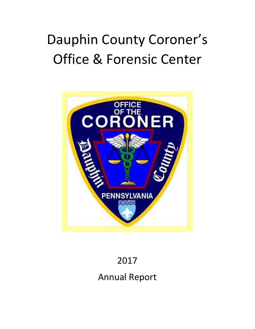# Dauphin County Coroner's Office & Forensic Center



# 2017

Annual Report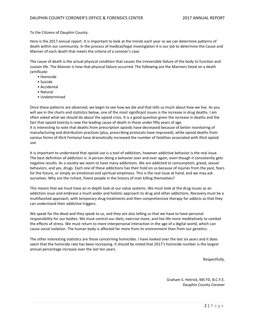#### To the Citizens of Dauphin County:

Here is the 2017 annual report. It is important to look at the trends each year so we can determine patterns of death within our community. In the process of medical/legal investigation it is our job to determine the Cause and Manner of each death that meets the criteria of a coroner's case.

The cause of death is the actual physical condition that causes the irreversible failure of the body to function and sustain life. The Manner is how that physical failure occurred. The following are the Manners listed on a death certificate:

- Homicide
- Suicide
- Accidental
- Natural
- Undetermined

Once these patterns are observed, we begin to see how we die and that tells us much about how we live. As you will see in the charts and statistics below, one of the most significant issues is the increase in drug deaths. I am often asked what we should do about the opioid crisis. It is a good question given the increase in deaths and the fact that opioid toxicity is now the leading cause of death in those under fifty years of age. It is interesting to note that deaths from prescription opioids have decreased because of better monitoring of manufacturing and distribution practices (plus, prescribing protocols have improved), while opioid deaths from various forms of illicit Fentanyl have dramatically increased the number of fatalities associated with illicit opioid use.

It is important to understand that opioid use is a tool of addiction, however addictive behavior is the real issue. The best definition of addiction is: A person doing a behavior over and over again, even though it consistently gets negative results. As a society we seem to have many addictions. We are addicted to consumption, greed, sexual behaviors, and yes, drugs. Each one of these addictions has their hold on us because of injuries from the past, fears for the future, or simply an emotional and spiritual emptiness. This is the real issue at hand, and we may ask ourselves: Why are the richest, freest people in the history of man killing themselves?

This means that we must have an in‐depth look at our value systems. We must look at the drug issues as an addiction issue and embrace a much wider and holistic approach to drug and other addictions. Recovery must be a multifaceted approach, with temporary drug treatments and then comprehensive therapy for addicts so that they can understand their addictive triggers.

We speak for the dead and they speak to us, and they are also telling us that we have to have personal responsibility for our bodies. We must control our diets, exercise more, and live life more meditatively to combat the effects of stress. We must return to more interpersonal interaction in the age of a digital world, which can cause social isolation. The human body is affected far more from its environment than from our genetics.

The other interesting statistics are those concerning homicides. I have looked over the last six years and it does seem that the homicide rate has been increasing. It should be noted that 2017's homicide number is the largest annual percentage increase over the last ten years.

Respectfully,

Graham S. Hetrick, MS FD, B.C.F.E. Dauphin County Coroner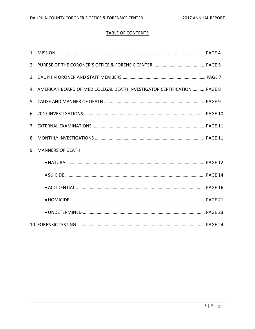# TABLE OF CONTENTS

| 4. AMERICAN BOARD OF MEDICOLEGAL DEATH INVESTIGATOR CERTIFICATION  PAGE 8 |
|---------------------------------------------------------------------------|
|                                                                           |
|                                                                           |
|                                                                           |
|                                                                           |
| 9. MANNERS OF DEATH                                                       |
|                                                                           |
|                                                                           |
|                                                                           |
|                                                                           |
|                                                                           |
|                                                                           |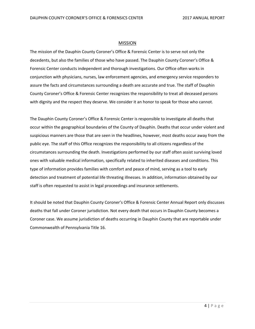#### MISSION

The mission of the Dauphin County Coroner's Office & Forensic Center is to serve not only the decedents, but also the families of those who have passed. The Dauphin County Coroner's Office & Forensic Center conducts independent and thorough investigations. Our Office often works in conjunction with physicians, nurses, law enforcement agencies, and emergency service responders to assure the facts and circumstances surrounding a death are accurate and true. The staff of Dauphin County Coroner's Office & Forensic Center recognizes the responsibility to treat all deceased persons with dignity and the respect they deserve. We consider it an honor to speak for those who cannot.

The Dauphin County Coroner's Office & Forensic Center is responsible to investigate all deaths that occur within the geographical boundaries of the County of Dauphin. Deaths that occur under violent and suspicious manners are those that are seen in the headlines, however, most deaths occur away from the public eye. The staff of this Office recognizes the responsibility to all citizens regardless of the circumstances surrounding the death. Investigations performed by our staff often assist surviving loved ones with valuable medical information, specifically related to inherited diseases and conditions. This type of information provides families with comfort and peace of mind, serving as a tool to early detection and treatment of potential life threating illnesses. In addition, information obtained by our staff is often requested to assist in legal proceedings and insurance settlements.

It should be noted that Dauphin County Coroner's Office & Forensic Center Annual Report only discusses deaths that fall under Coroner jurisdiction. Not every death that occurs in Dauphin County becomes a Coroner case. We assume jurisdiction of deaths occurring in Dauphin County that are reportable under Commonwealth of Pennsylvania Title 16.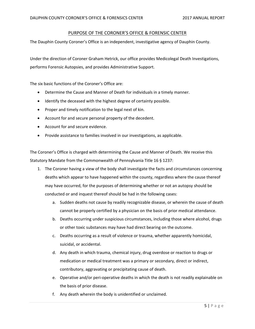# PURPOSE OF THE CORONER'S OFFICE & FORENSIC CENTER

The Dauphin County Coroner's Office is an independent, investigative agency of Dauphin County.

Under the direction of Coroner Graham Hetrick, our office provides Medicolegal Death Investigations, performs Forensic Autopsies, and provides Administrative Support.

The six basic functions of the Coroner's Office are:

- Determine the Cause and Manner of Death for individuals in a timely manner.
- Identify the deceased with the highest degree of certainty possible.
- Proper and timely notification to the legal next of kin.
- Account for and secure personal property of the decedent.
- Account for and secure evidence.
- Provide assistance to families involved in our investigations, as applicable.

The Coroner's Office is charged with determining the Cause and Manner of Death. We receive this Statutory Mandate from the Commonwealth of Pennsylvania Title 16 § 1237:

- 1. The Coroner having a view of the body shall investigate the facts and circumstances concerning deaths which appear to have happened within the county, regardless where the cause thereof may have occurred, for the purposes of determining whether or not an autopsy should be conducted or and inquest thereof should be had in the following cases:
	- a. Sudden deaths not cause by readily recognizable disease, or wherein the cause of death cannot be properly certified by a physician on the basis of prior medical attendance.
	- b. Deaths occurring under suspicious circumstances, including those where alcohol, drugs or other toxic substances may have had direct bearing on the outcome.
	- c. Deaths occurring as a result of violence or trauma, whether apparently homicidal, suicidal, or accidental.
	- d. Any death in which trauma, chemical injury, drug overdose or reaction to drugs or medication or medical treatment was a primary or secondary, direct or indirect, contributory, aggravating or precipitating cause of death.
	- e. Operative and/or peri-operative deaths in which the death is not readily explainable on the basis of prior disease.
	- f. Any death wherein the body is unidentified or unclaimed.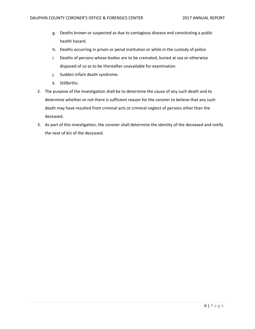- g. Deaths known or suspected as due to contagious disease and constituting a public health hazard.
- h. Deaths occurring in prison or penal institution or while in the custody of police.
- i. Deaths of persons whose bodies are to be cremated, buried at sea or otherwise disposed of so as to be thereafter unavailable for examination.
- j. Sudden infant death syndrome.
- k. Stillbirths.
- 2. The purpose of the investigation shall be to determine the cause of any such death and to determine whether or not there is sufficient reason for the coroner to believe that any such death may have resulted from criminal acts or criminal neglect of persons other than the deceased.
- 3. As part of this investigation, the coroner shall determine the identity of the deceased and notify the next of kin of the deceased.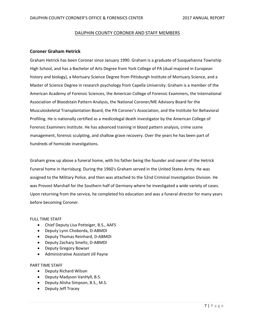#### DAUPHIN COUNTY CORONER AND STAFF MEMBERS

#### **Coroner Graham Hetrick**

Graham Hetrick has been Coroner since January 1990. Graham is a graduate of Susquehanna Township High School, and has a Bachelor of Arts Degree from York College of PA (dual majored in European history and biology), a Mortuary Science Degree from Pittsburgh Institute of Mortuary Science, and a Master of Science Degree in research psychology from Capella University. Graham is a member of the American Academy of Forensic Sciences, the American College of Forensic Examiners, the International Association of Bloodstain Pattern Analysis, the National Coroner/ME Advisory Board for the Musculoskeletal Transplantation Board, the PA Coroner's Association, and the Institute for Behavioral Profiling. He is nationally certified as a medicolegal death investigator by the American College of Forensic Examiners Institute. He has advanced training in blood pattern analysis, crime scene management, forensic sculpting, and shallow grave recovery. Over the years he has been part of hundreds of homicide investigations.

Graham grew up above a funeral home, with his father being the founder and owner of the Hetrick Funeral home in Harrisburg. During the 1960's Graham served in the United States Army. He was assigned to the Military Police, and then was attached to the 52nd Criminal Investigation Division. He was Provost Marshall for the Southern half of Germany where he investigated a wide variety of cases. Upon returning from the service, he completed his education and was a funeral director for many years before becoming Coroner.

#### FULL TIME STAFF

- Chief Deputy Lisa Potteiger, B.S., AAFS
- Deputy Lynn Choborda, D-ABMDI
- Deputy Thomas Reinhard, D-ABMDI
- Deputy Zachary Smeltz, D-ABMDI
- Deputy Gregory Bowser
- Administrative Assistant Jill Payne

#### PART TIME STAFF

- Deputy Richard Wilson
- Deputy Madyson VanHyll, B.S.
- Deputy Alisha Simpson, B.S., M.S.
- Deputy Jeff Tracey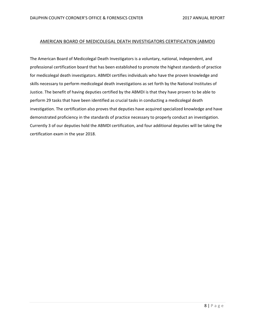#### AMERICAN BOARD OF MEDICOLEGAL DEATH INVESTIGATORS CERTIFICATION (ABMDI)

The American Board of Medicolegal Death Investigators is a voluntary, national, independent, and professional certification board that has been established to promote the highest standards of practice for medicolegal death investigators. ABMDI certifies individuals who have the proven knowledge and skills necessary to perform medicolegal death investigations as set forth by the National Institutes of Justice. The benefit of having deputies certified by the ABMDI is that they have proven to be able to perform 29 tasks that have been identified as crucial tasks in conducting a medicolegal death investigation. The certification also proves that deputies have acquired specialized knowledge and have demonstrated proficiency in the standards of practice necessary to properly conduct an investigation. Currently 3 of our deputies hold the ABMDI certification, and four additional deputies will be taking the certification exam in the year 2018.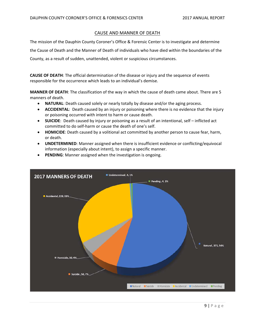# CAUSE AND MANNER OF DEATH

The mission of the Dauphin County Coroner's Office & Forensic Center is to investigate and determine the Cause of Death and the Manner of Death of individuals who have died within the boundaries of the County, as a result of sudden, unattended, violent or suspicious circumstances.

**CAUSE OF DEATH**: The official determination of the disease or injury and the sequence of events responsible for the occurrence which leads to an individual's demise.

**MANNER OF DEATH**: The classification of the way in which the cause of death came about. There are 5 manners of death.

- **NATURAL**: Death caused solely or nearly totally by disease and/or the aging process.
- **ACCIDENTAL**: Death caused by an injury or poisoning where there is no evidence that the injury or poisoning occurred with intent to harm or cause death.
- **SUICIDE**: Death caused by injury or poisoning as a result of an intentional, self inflicted act committed to do self‐harm or cause the death of one's self.
- **HOMICIDE**: Death caused by a volitional act committed by another person to cause fear, harm, or death.
- **UNDETERMINED**: Manner assigned when there is insufficient evidence or conflicting/equivocal information (especially about intent), to assign a specific manner.
- **PENDING**: Manner assigned when the investigation is ongoing.

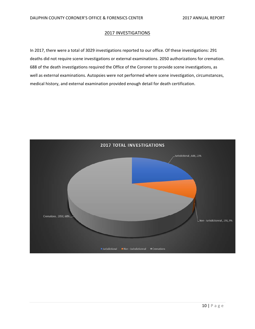#### 2017 INVESTIGATIONS

In 2017, there were a total of 3029 investigations reported to our office. Of these investigations: 291 deaths did not require scene investigations or external examinations. 2050 authorizations for cremation. 688 of the death investigations required the Office of the Coroner to provide scene investigations, as well as external examinations. Autopsies were not performed where scene investigation, circumstances, medical history, and external examination provided enough detail for death certification.

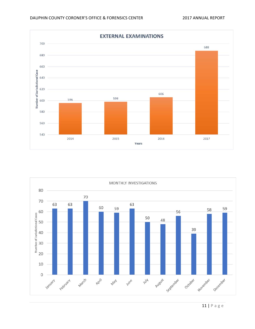

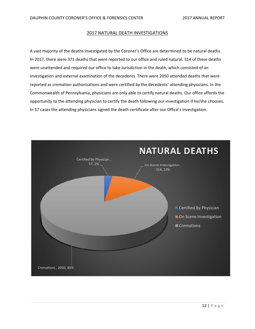#### 2017 NATURAL DEATH INVESTIGATIONS

A vast majority of the deaths investigated by the Coroner's Office are determined to be natural deaths. In 2017, there were 371 deaths that were reported to our office and ruled natural. 314 of these deaths were unattended and required our office to take Jurisdiction in the death, which consisted of an investigation and external examination of the decedents. There were 2050 attended deaths that were reported as cremation authorizations and were certified by the decedents' attending physicians. In the Commonwealth of Pennsylvania, physicians are only able to certify natural deaths. Our office affords the opportunity to the attending physician to certify the death following our investigation if he/she chooses. In 57 cases the attending physicians signed the death certificate after our Office's investigation.

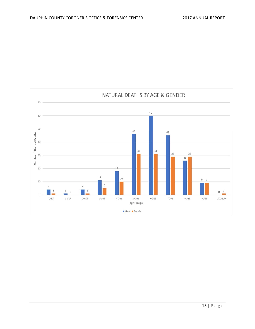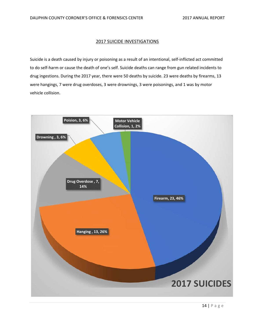#### 2017 SUICIDE INVESTIGATIONS

Suicide is a death caused by injury or poisoning as a result of an intentional, self-inflicted act committed to do self‐harm or cause the death of one's self. Suicide deaths can range from gun related incidents to drug ingestions. During the 2017 year, there were 50 deaths by suicide. 23 were deaths by firearms, 13 were hangings, 7 were drug overdoses, 3 were drownings, 3 were poisonings, and 1 was by motor vehicle collision.

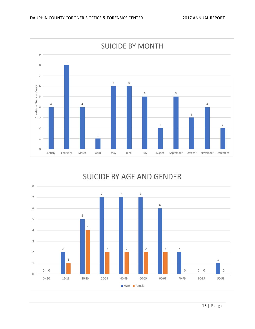

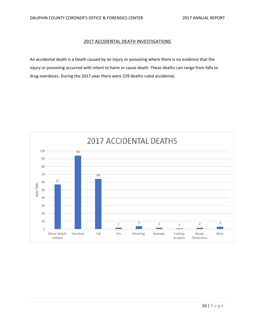#### 2017 ACCIDENTAL DEATH INVESTIGATIONS

An accidental death is a Death caused by an injury or poisoning where there is no evidence that the injury or poisoning occurred with intent to harm or cause death. These deaths can range from falls to drug overdoses. During the 2017 year there were 229 deaths ruled accidental.

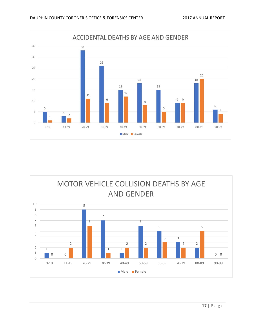

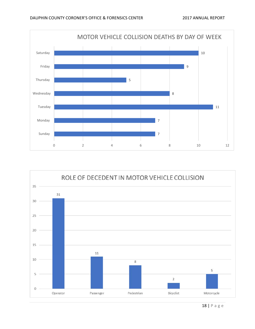

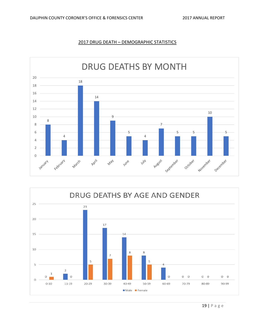![](_page_18_Figure_2.jpeg)

![](_page_18_Figure_3.jpeg)

![](_page_18_Figure_4.jpeg)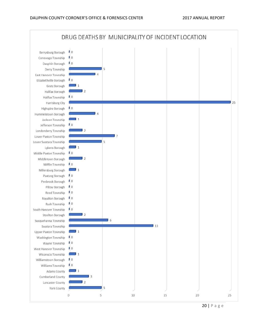![](_page_19_Figure_2.jpeg)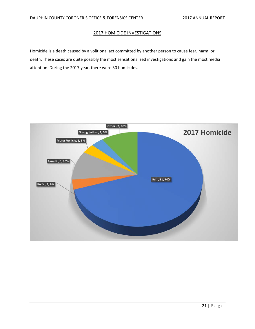#### 2017 HOMICIDE INVESTIGATIONS

Homicide is a death caused by a volitional act committed by another person to cause fear, harm, or death. These cases are quite possibly the most sensationalized investigations and gain the most media attention. During the 2017 year, there were 30 homicides.

![](_page_20_Figure_4.jpeg)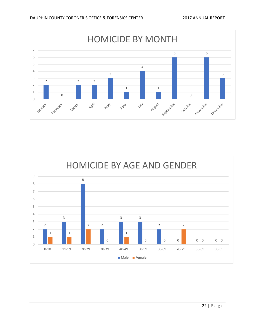![](_page_21_Figure_2.jpeg)

![](_page_21_Figure_3.jpeg)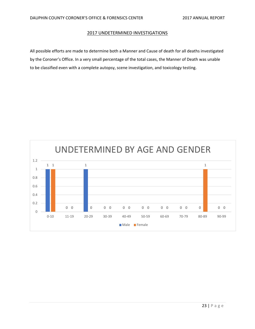#### 2017 UNDETERMINED INVESTIGATIONS

All possible efforts are made to determine both a Manner and Cause of death for all deaths investigated by the Coroner's Office. In a very small percentage of the total cases, the Manner of Death was unable to be classified even with a complete autopsy, scene investigation, and toxicology testing.

![](_page_22_Figure_4.jpeg)